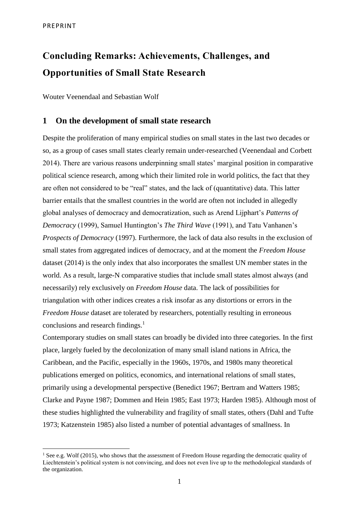<u>.</u>

# **Concluding Remarks: Achievements, Challenges, and Opportunities of Small State Research**

Wouter Veenendaal and Sebastian Wolf

# **1 On the development of small state research**

Despite the proliferation of many empirical studies on small states in the last two decades or so, as a group of cases small states clearly remain under-researched (Veenendaal and Corbett 2014). There are various reasons underpinning small states' marginal position in comparative political science research, among which their limited role in world politics, the fact that they are often not considered to be "real" states, and the lack of (quantitative) data. This latter barrier entails that the smallest countries in the world are often not included in allegedly global analyses of democracy and democratization, such as Arend Lijphart's *Patterns of Democracy* (1999), Samuel Huntington's *The Third Wave* (1991), and Tatu Vanhanen's *Prospects of Democracy* (1997). Furthermore, the lack of data also results in the exclusion of small states from aggregated indices of democracy, and at the moment the *Freedom House* dataset (2014) is the only index that also incorporates the smallest UN member states in the world. As a result, large-N comparative studies that include small states almost always (and necessarily) rely exclusively on *Freedom House* data. The lack of possibilities for triangulation with other indices creates a risk insofar as any distortions or errors in the *Freedom House* dataset are tolerated by researchers, potentially resulting in erroneous conclusions and research findings.<sup>1</sup>

Contemporary studies on small states can broadly be divided into three categories. In the first place, largely fueled by the decolonization of many small island nations in Africa, the Caribbean, and the Pacific, especially in the 1960s, 1970s, and 1980s many theoretical publications emerged on politics, economics, and international relations of small states, primarily using a developmental perspective (Benedict 1967; Bertram and Watters 1985; Clarke and Payne 1987; Dommen and Hein 1985; East 1973; Harden 1985). Although most of these studies highlighted the vulnerability and fragility of small states, others (Dahl and Tufte 1973; Katzenstein 1985) also listed a number of potential advantages of smallness. In

<sup>&</sup>lt;sup>1</sup> See e.g. Wolf (2015), who shows that the assessment of Freedom House regarding the democratic quality of Liechtenstein's political system is not convincing, and does not even live up to the methodological standards of the organization.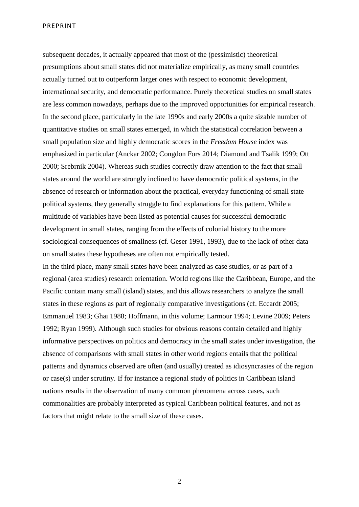subsequent decades, it actually appeared that most of the (pessimistic) theoretical presumptions about small states did not materialize empirically, as many small countries actually turned out to outperform larger ones with respect to economic development, international security, and democratic performance. Purely theoretical studies on small states are less common nowadays, perhaps due to the improved opportunities for empirical research. In the second place, particularly in the late 1990s and early 2000s a quite sizable number of quantitative studies on small states emerged, in which the statistical correlation between a small population size and highly democratic scores in the *Freedom House* index was emphasized in particular (Anckar 2002; Congdon Fors 2014; Diamond and Tsalik 1999; Ott 2000; Srebrnik 2004). Whereas such studies correctly draw attention to the fact that small states around the world are strongly inclined to have democratic political systems, in the absence of research or information about the practical, everyday functioning of small state political systems, they generally struggle to find explanations for this pattern. While a multitude of variables have been listed as potential causes for successful democratic development in small states, ranging from the effects of colonial history to the more sociological consequences of smallness (cf. Geser 1991, 1993), due to the lack of other data on small states these hypotheses are often not empirically tested.

In the third place, many small states have been analyzed as case studies, or as part of a regional (area studies) research orientation. World regions like the Caribbean, Europe, and the Pacific contain many small (island) states, and this allows researchers to analyze the small states in these regions as part of regionally comparative investigations (cf. Eccardt 2005; Emmanuel 1983; Ghai 1988; Hoffmann, in this volume; Larmour 1994; Levine 2009; Peters 1992; Ryan 1999). Although such studies for obvious reasons contain detailed and highly informative perspectives on politics and democracy in the small states under investigation, the absence of comparisons with small states in other world regions entails that the political patterns and dynamics observed are often (and usually) treated as idiosyncrasies of the region or case(s) under scrutiny. If for instance a regional study of politics in Caribbean island nations results in the observation of many common phenomena across cases, such commonalities are probably interpreted as typical Caribbean political features, and not as factors that might relate to the small size of these cases.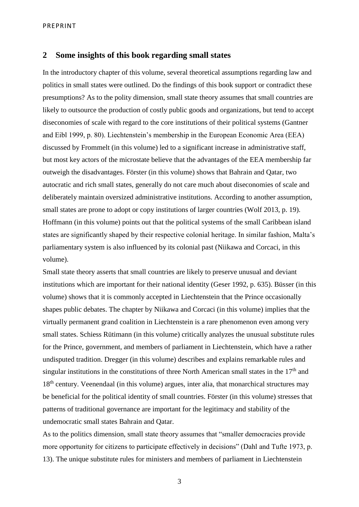### **2 Some insights of this book regarding small states**

In the introductory chapter of this volume, several theoretical assumptions regarding law and politics in small states were outlined. Do the findings of this book support or contradict these presumptions? As to the polity dimension, small state theory assumes that small countries are likely to outsource the production of costly public goods and organizations, but tend to accept diseconomies of scale with regard to the core institutions of their political systems (Gantner and Eibl 1999, p. 80). Liechtenstein's membership in the European Economic Area (EEA) discussed by Frommelt (in this volume) led to a significant increase in administrative staff, but most key actors of the microstate believe that the advantages of the EEA membership far outweigh the disadvantages. Förster (in this volume) shows that Bahrain and Qatar, two autocratic and rich small states, generally do not care much about diseconomies of scale and deliberately maintain oversized administrative institutions. According to another assumption, small states are prone to adopt or copy institutions of larger countries (Wolf 2013, p. 19). Hoffmann (in this volume) points out that the political systems of the small Caribbean island states are significantly shaped by their respective colonial heritage. In similar fashion, Malta's parliamentary system is also influenced by its colonial past (Niikawa and Corcaci, in this volume).

Small state theory asserts that small countries are likely to preserve unusual and deviant institutions which are important for their national identity (Geser 1992, p. 635). Büsser (in this volume) shows that it is commonly accepted in Liechtenstein that the Prince occasionally shapes public debates. The chapter by Niikawa and Corcaci (in this volume) implies that the virtually permanent grand coalition in Liechtenstein is a rare phenomenon even among very small states. Schiess Rütimann (in this volume) critically analyzes the unusual substitute rules for the Prince, government, and members of parliament in Liechtenstein, which have a rather undisputed tradition. Dregger (in this volume) describes and explains remarkable rules and singular institutions in the constitutions of three North American small states in the  $17<sup>th</sup>$  and 18<sup>th</sup> century. Veenendaal (in this volume) argues, inter alia, that monarchical structures may be beneficial for the political identity of small countries. Förster (in this volume) stresses that patterns of traditional governance are important for the legitimacy and stability of the undemocratic small states Bahrain and Qatar.

As to the politics dimension, small state theory assumes that "smaller democracies provide more opportunity for citizens to participate effectively in decisions" (Dahl and Tufte 1973, p. 13). The unique substitute rules for ministers and members of parliament in Liechtenstein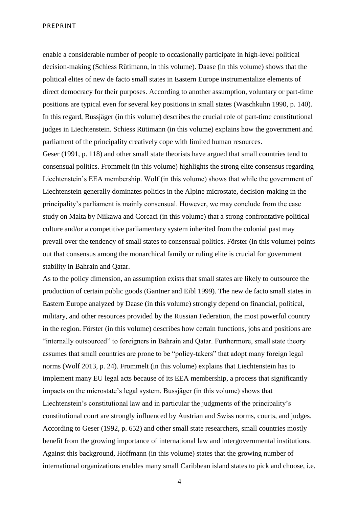enable a considerable number of people to occasionally participate in high-level political decision-making (Schiess Rütimann, in this volume). Daase (in this volume) shows that the political elites of new de facto small states in Eastern Europe instrumentalize elements of direct democracy for their purposes. According to another assumption, voluntary or part-time positions are typical even for several key positions in small states (Waschkuhn 1990, p. 140). In this regard, Bussjäger (in this volume) describes the crucial role of part-time constitutional judges in Liechtenstein. Schiess Rütimann (in this volume) explains how the government and parliament of the principality creatively cope with limited human resources.

Geser (1991, p. 118) and other small state theorists have argued that small countries tend to consensual politics. Frommelt (in this volume) highlights the strong elite consensus regarding Liechtenstein's EEA membership. Wolf (in this volume) shows that while the government of Liechtenstein generally dominates politics in the Alpine microstate, decision-making in the principality's parliament is mainly consensual. However, we may conclude from the case study on Malta by Niikawa and Corcaci (in this volume) that a strong confrontative political culture and/or a competitive parliamentary system inherited from the colonial past may prevail over the tendency of small states to consensual politics. Förster (in this volume) points out that consensus among the monarchical family or ruling elite is crucial for government stability in Bahrain and Qatar.

As to the policy dimension, an assumption exists that small states are likely to outsource the production of certain public goods (Gantner and Eibl 1999). The new de facto small states in Eastern Europe analyzed by Daase (in this volume) strongly depend on financial, political, military, and other resources provided by the Russian Federation, the most powerful country in the region. Förster (in this volume) describes how certain functions, jobs and positions are "internally outsourced" to foreigners in Bahrain and Qatar. Furthermore, small state theory assumes that small countries are prone to be "policy-takers" that adopt many foreign legal norms (Wolf 2013, p. 24). Frommelt (in this volume) explains that Liechtenstein has to implement many EU legal acts because of its EEA membership, a process that significantly impacts on the microstate's legal system. Bussjäger (in this volume) shows that Liechtenstein's constitutional law and in particular the judgments of the principality's constitutional court are strongly influenced by Austrian and Swiss norms, courts, and judges. According to Geser (1992, p. 652) and other small state researchers, small countries mostly benefit from the growing importance of international law and intergovernmental institutions. Against this background, Hoffmann (in this volume) states that the growing number of international organizations enables many small Caribbean island states to pick and choose, i.e.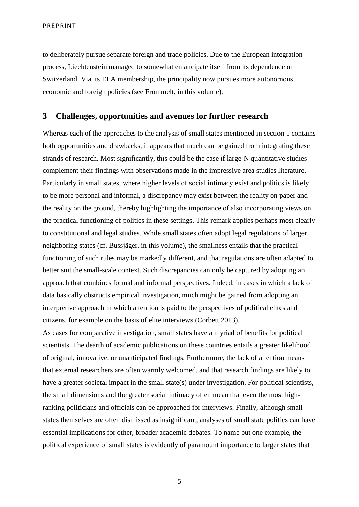to deliberately pursue separate foreign and trade policies. Due to the European integration process, Liechtenstein managed to somewhat emancipate itself from its dependence on Switzerland. Via its EEA membership, the principality now pursues more autonomous economic and foreign policies (see Frommelt, in this volume).

# **3 Challenges, opportunities and avenues for further research**

Whereas each of the approaches to the analysis of small states mentioned in section 1 contains both opportunities and drawbacks, it appears that much can be gained from integrating these strands of research. Most significantly, this could be the case if large-N quantitative studies complement their findings with observations made in the impressive area studies literature. Particularly in small states, where higher levels of social intimacy exist and politics is likely to be more personal and informal, a discrepancy may exist between the reality on paper and the reality on the ground, thereby highlighting the importance of also incorporating views on the practical functioning of politics in these settings. This remark applies perhaps most clearly to constitutional and legal studies. While small states often adopt legal regulations of larger neighboring states (cf. Bussjäger, in this volume), the smallness entails that the practical functioning of such rules may be markedly different, and that regulations are often adapted to better suit the small-scale context. Such discrepancies can only be captured by adopting an approach that combines formal and informal perspectives. Indeed, in cases in which a lack of data basically obstructs empirical investigation, much might be gained from adopting an interpretive approach in which attention is paid to the perspectives of political elites and citizens, for example on the basis of elite interviews (Corbett 2013).

As cases for comparative investigation, small states have a myriad of benefits for political scientists. The dearth of academic publications on these countries entails a greater likelihood of original, innovative, or unanticipated findings. Furthermore, the lack of attention means that external researchers are often warmly welcomed, and that research findings are likely to have a greater societal impact in the small state(s) under investigation. For political scientists, the small dimensions and the greater social intimacy often mean that even the most highranking politicians and officials can be approached for interviews. Finally, although small states themselves are often dismissed as insignificant, analyses of small state politics can have essential implications for other, broader academic debates. To name but one example, the political experience of small states is evidently of paramount importance to larger states that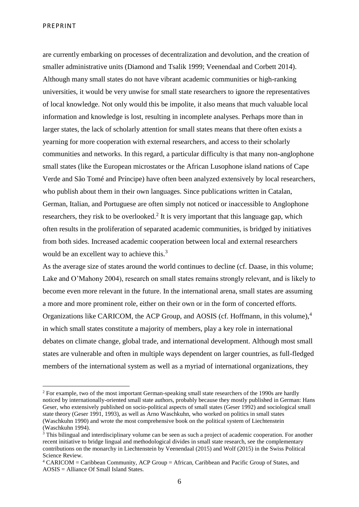1

are currently embarking on processes of decentralization and devolution, and the creation of smaller administrative units (Diamond and Tsalik 1999; Veenendaal and Corbett 2014). Although many small states do not have vibrant academic communities or high-ranking universities, it would be very unwise for small state researchers to ignore the representatives of local knowledge. Not only would this be impolite, it also means that much valuable local information and knowledge is lost, resulting in incomplete analyses. Perhaps more than in larger states, the lack of scholarly attention for small states means that there often exists a yearning for more cooperation with external researchers, and access to their scholarly communities and networks. In this regard, a particular difficulty is that many non-anglophone small states (like the European microstates or the African Lusophone island nations of Cape Verde and São Tomé and Príncipe) have often been analyzed extensively by local researchers, who publish about them in their own languages. Since publications written in Catalan, German, Italian, and Portuguese are often simply not noticed or inaccessible to Anglophone researchers, they risk to be overlooked.<sup>2</sup> It is very important that this language gap, which often results in the proliferation of separated academic communities, is bridged by initiatives from both sides. Increased academic cooperation between local and external researchers would be an excellent way to achieve this.<sup>3</sup>

As the average size of states around the world continues to decline (cf. Daase, in this volume; Lake and O'Mahony 2004), research on small states remains strongly relevant, and is likely to become even more relevant in the future. In the international arena, small states are assuming a more and more prominent role, either on their own or in the form of concerted efforts. Organizations like CARICOM, the ACP Group, and AOSIS (cf. Hoffmann, in this volume),<sup>4</sup> in which small states constitute a majority of members, play a key role in international debates on climate change, global trade, and international development. Although most small states are vulnerable and often in multiple ways dependent on larger countries, as full-fledged members of the international system as well as a myriad of international organizations, they

<sup>&</sup>lt;sup>2</sup> For example, two of the most important German-speaking small state researchers of the 1990s are hardly noticed by internationally-oriented small state authors, probably because they mostly published in German: Hans Geser, who extensively published on socio-political aspects of small states (Geser 1992) and sociological small state theory (Geser 1991, 1993), as well as Arno Waschkuhn, who worked on politics in small states (Waschkuhn 1990) and wrote the most comprehensive book on the political system of Liechtenstein (Waschkuhn 1994).

<sup>&</sup>lt;sup>3</sup> This bilingual and interdisciplinary volume can be seen as such a project of academic cooperation. For another recent initiative to bridge lingual and methodological divides in small state research, see the complementary contributions on the monarchy in Liechtenstein by Veenendaal (2015) and Wolf (2015) in the Swiss Political Science Review.

<sup>4</sup> CARICOM = Caribbean Community, ACP Group = African, Caribbean and Pacific Group of States, and AOSIS = Alliance Of Small Island States.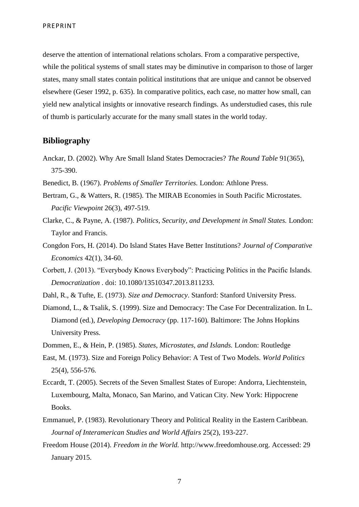deserve the attention of international relations scholars. From a comparative perspective, while the political systems of small states may be diminutive in comparison to those of larger states, many small states contain political institutions that are unique and cannot be observed elsewhere (Geser 1992, p. 635). In comparative politics, each case, no matter how small, can yield new analytical insights or innovative research findings. As understudied cases, this rule of thumb is particularly accurate for the many small states in the world today.

## **Bibliography**

- Anckar, D. (2002). Why Are Small Island States Democracies? *The Round Table* 91(365), 375-390.
- Benedict, B. (1967). *Problems of Smaller Territories.* London: Athlone Press.
- Bertram, G., & Watters, R. (1985). The MIRAB Economies in South Pacific Microstates. *Pacific Viewpoint* 26(3), 497-519.
- Clarke, C., & Payne, A. (1987). *Politics, Security, and Development in Small States.* London: Taylor and Francis.
- Congdon Fors, H. (2014). Do Island States Have Better Institutions? *Journal of Comparative Economics* 42(1), 34-60.
- Corbett, J. (2013). "Everybody Knows Everybody": Practicing Politics in the Pacific Islands. *Democratization* . doi: 10.1080/13510347.2013.811233.
- Dahl, R., & Tufte, E. (1973). *Size and Democracy*. Stanford: Stanford University Press.
- Diamond, L., & Tsalik, S. (1999). Size and Democracy: The Case For Decentralization. In L. Diamond (ed.), *Developing Democracy* (pp. 117-160)*.* Baltimore: The Johns Hopkins University Press.
- Dommen, E., & Hein, P. (1985). *States, Microstates, and Islands.* London: Routledge
- East, M. (1973). Size and Foreign Policy Behavior: A Test of Two Models. *World Politics*  25(4), 556-576.
- Eccardt, T. (2005). Secrets of the Seven Smallest States of Europe: Andorra, Liechtenstein, Luxembourg, Malta, Monaco, San Marino, and Vatican City. New York: Hippocrene Books.
- Emmanuel, P. (1983). Revolutionary Theory and Political Reality in the Eastern Caribbean. *Journal of Interamerican Studies and World Affairs* 25(2), 193-227.
- Freedom House (2014). *Freedom in the World.* http://www.freedomhouse.org. Accessed: 29 January 2015.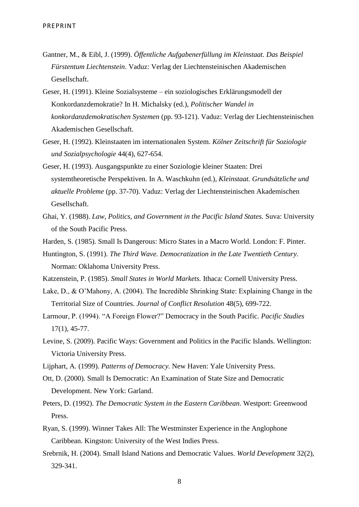- Gantner, M., & Eibl, J. (1999). *Öffentliche Aufgabenerfüllung im Kleinstaat. Das Beispiel Fürstentum Liechtenstein*. Vaduz: Verlag der Liechtensteinischen Akademischen Gesellschaft.
- Geser, H. (1991). Kleine Sozialsysteme ein soziologisches Erklärungsmodell der Konkordanzdemokratie? In H. Michalsky (ed.), *Politischer Wandel in konkordanzdemokratischen Systemen* (pp. 93-121). Vaduz: Verlag der Liechtensteinischen Akademischen Gesellschaft.
- Geser, H. (1992). Kleinstaaten im internationalen System. *Kölner Zeitschrift für Soziologie und Sozialpsychologie* 44(4), 627-654.
- Geser, H. (1993). Ausgangspunkte zu einer Soziologie kleiner Staaten: Drei systemtheoretische Perspektiven. In A. Waschkuhn (ed.), *Kleinstaat. Grundsätzliche und aktuelle Probleme* (pp. 37-70). Vaduz: Verlag der Liechtensteinischen Akademischen Gesellschaft.
- Ghai, Y. (1988). *Law, Politics, and Government in the Pacific Island States.* Suva: University of the South Pacific Press.
- Harden, S. (1985). Small Is Dangerous: Micro States in a Macro World. London: F. Pinter.
- Huntington, S. (1991). *The Third Wave. Democratization in the Late Twentieth Century.* Norman: Oklahoma University Press.
- Katzenstein, P. (1985). *Small States in World Markets.* Ithaca: Cornell University Press.
- Lake, D., & O'Mahony, A. (2004). The Incredible Shrinking State: Explaining Change in the Territorial Size of Countries. *Journal of Conflict Resolution* 48(5), 699-722.
- Larmour, P. (1994). "A Foreign Flower?" Democracy in the South Pacific. *Pacific Studies*  17(1), 45-77.
- Levine, S. (2009). Pacific Ways: Government and Politics in the Pacific Islands. Wellington: Victoria University Press.
- Lijphart, A. (1999). *Patterns of Democracy.* New Haven: Yale University Press.
- Ott, D. (2000). Small Is Democratic: An Examination of State Size and Democratic Development. New York: Garland.
- Peters, D. (1992). *The Democratic System in the Eastern Caribbean*. Westport: Greenwood Press.
- Ryan, S. (1999). Winner Takes All: The Westminster Experience in the Anglophone Caribbean. Kingston: University of the West Indies Press.
- Srebrnik, H. (2004). Small Island Nations and Democratic Values. *World Development* 32(2), 329-341.